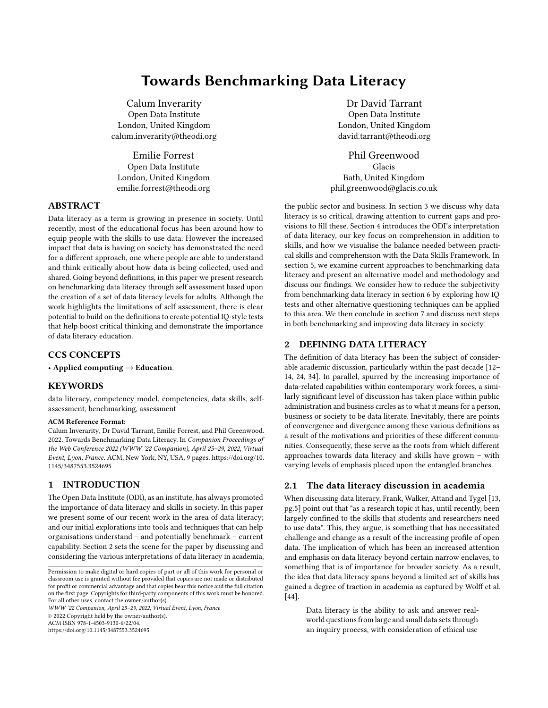# Towards Benchmarking Data Literacy

Calum Inverarity Open Data Institute London, United Kingdom calum.inverarity@theodi.org

Emilie Forrest Open Data Institute London, United Kingdom emilie.forrest@theodi.org

# ABSTRACT

Data literacy as a term is growing in presence in society. Until recently, most of the educational focus has been around how to equip people with the skills to use data. However the increased impact that data is having on society has demonstrated the need for a different approach, one where people are able to understand and think critically about how data is being collected, used and shared. Going beyond definitions, in this paper we present research on benchmarking data literacy through self assessment based upon the creation of a set of data literacy levels for adults. Although the work highlights the limitations of self assessment, there is clear potential to build on the definitions to create potential IQ-style tests that help boost critical thinking and demonstrate the importance of data literacy education.

## CCS CONCEPTS

• Applied computing  $\rightarrow$  Education.

#### KEYWORDS

data literacy, competency model, competencies, data skills, selfassessment, benchmarking, assessment

#### ACM Reference Format:

Calum Inverarity, Dr David Tarrant, Emilie Forrest, and Phil Greenwood. 2022. Towards Benchmarking Data Literacy. In Companion Proceedings of the Web Conference 2022 (WWW '22 Companion), April 25–29, 2022, Virtual Event, Lyon, France. ACM, New York, NY, USA, [9](#page-8-0) pages. [https://doi.org/10.](https://doi.org/10.1145/3487553.3524695) [1145/3487553.3524695](https://doi.org/10.1145/3487553.3524695)

# 1 INTRODUCTION

The Open Data Institute (ODI), as an institute, has always promoted the importance of data literacy and skills in society. In this paper we present some of our recent work in the area of data literacy; and our initial explorations into tools and techniques that can help organisations understand – and potentially benchmark – current capability. Section [2](#page-0-0) sets the scene for the paper by discussing and considering the various interpretations of data literacy in academia,

WWW '22 Companion, April 25–29, 2022, Virtual Event, Lyon, France

© 2022 Copyright held by the owner/author(s).

ACM ISBN 978-1-4503-9130-6/22/04.

<https://doi.org/10.1145/3487553.3524695>

Dr David Tarrant Open Data Institute London, United Kingdom david.tarrant@theodi.org

Phil Greenwood Glacis Bath, United Kingdom phil.greenwood@glacis.co.uk

the public sector and business. In section [3](#page-1-0) we discuss why data literacy is so critical, drawing attention to current gaps and provisions to fill these. Section [4](#page-3-0) introduces the ODI's interpretation of data literacy, our key focus on comprehension in addition to skills, and how we visualise the balance needed between practical skills and comprehension with the Data Skills Framework. In section [5,](#page-4-0) we examine current approaches to benchmarking data literacy and present an alternative model and methodology and discuss our findings. We consider how to reduce the subjectivity from benchmarking data literacy in section [6](#page-6-0) by exploring how IQ tests and other alternative questioning techniques can be applied to this area. We then conclude in section [7](#page-7-0) and discuss next steps in both benchmarking and improving data literacy in society.

## <span id="page-0-0"></span>2 DEFINING DATA LITERACY

The definition of data literacy has been the subject of considerable academic discussion, particularly within the past decade [\[12–](#page-8-1) [14,](#page-8-2) [24,](#page-8-3) [34\]](#page-8-4). In parallel, spurred by the increasing importance of data-related capabilities within contemporary work forces, a similarly significant level of discussion has taken place within public administration and business circles as to what it means for a person, business or society to be data literate. Inevitably, there are points of convergence and divergence among these various definitions as a result of the motivations and priorities of these different communities. Consequently, these serve as the roots from which different approaches towards data literacy and skills have grown – with varying levels of emphasis placed upon the entangled branches.

#### 2.1 The data literacy discussion in academia

When discussing data literacy, Frank, Walker, Attand and Tygel [\[13,](#page-8-5) pg.5] point out that "as a research topic it has, until recently, been largely confined to the skills that students and researchers need to use data". This, they argue, is something that has necessitated challenge and change as a result of the increasing profile of open data. The implication of which has been an increased attention and emphasis on data literacy beyond certain narrow enclaves, to something that is of importance for broader society. As a result, the idea that data literacy spans beyond a limited set of skills has gained a degree of traction in academia as captured by Wolff et al. [\[44\]](#page-8-6).

Data literacy is the ability to ask and answer realworld questions from large and small data sets through an inquiry process, with consideration of ethical use

Permission to make digital or hard copies of part or all of this work for personal or classroom use is granted without fee provided that copies are not made or distributed for profit or commercial advantage and that copies bear this notice and the full citation on the first page. Copyrights for third-party components of this work must be honored. For all other uses, contact the owner/author(s).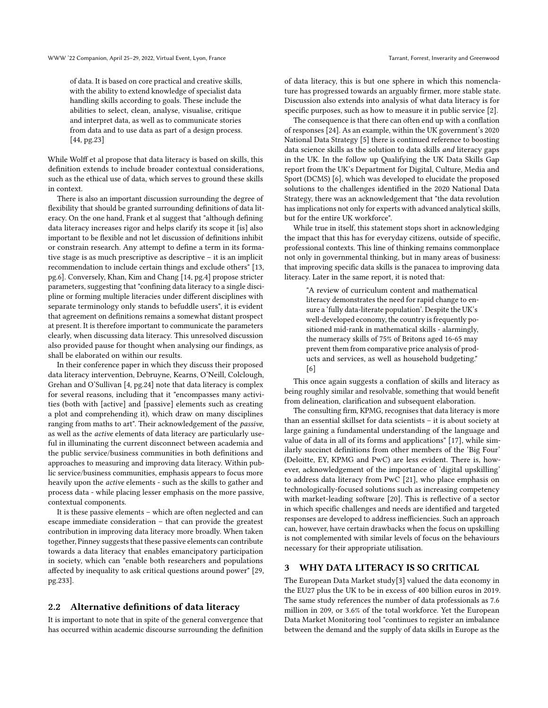of data. It is based on core practical and creative skills, with the ability to extend knowledge of specialist data handling skills according to goals. These include the abilities to select, clean, analyse, visualise, critique and interpret data, as well as to communicate stories from data and to use data as part of a design process. [\[44,](#page-8-6) pg.23]

While Wolff et al propose that data literacy is based on skills, this definition extends to include broader contextual considerations, such as the ethical use of data, which serves to ground these skills in context.

There is also an important discussion surrounding the degree of flexibility that should be granted surrounding definitions of data literacy. On the one hand, Frank et al suggest that "although defining data literacy increases rigor and helps clarify its scope it [is] also important to be flexible and not let discussion of definitions inhibit or constrain research. Any attempt to define a term in its formative stage is as much prescriptive as descriptive – it is an implicit recommendation to include certain things and exclude others" [\[13,](#page-8-5) pg.6]. Conversely, Khan, Kim and Chang [\[14,](#page-8-2) pg.4] propose stricter parameters, suggesting that "confining data literacy to a single discipline or forming multiple literacies under different disciplines with separate terminology only stands to befuddle users", it is evident that agreement on definitions remains a somewhat distant prospect at present. It is therefore important to communicate the parameters clearly, when discussing data literacy. This unresolved discussion also provided pause for thought when analysing our findings, as shall be elaborated on within our results.

In their conference paper in which they discuss their proposed data literacy intervention, Debruyne, Kearns, O'Neill, Colclough, Grehan and O'Sullivan [\[4,](#page-8-7) pg.24] note that data literacy is complex for several reasons, including that it "encompasses many activities (both with [active] and [passive] elements such as creating a plot and comprehending it), which draw on many disciplines ranging from maths to art". Their acknowledgement of the passive, as well as the active elements of data literacy are particularly useful in illuminating the current disconnect between academia and the public service/business communities in both definitions and approaches to measuring and improving data literacy. Within public service/business communities, emphasis appears to focus more heavily upon the active elements - such as the skills to gather and process data - while placing lesser emphasis on the more passive, contextual components.

It is these passive elements – which are often neglected and can escape immediate consideration – that can provide the greatest contribution in improving data literacy more broadly. When taken together, Pinney suggests that these passive elements can contribute towards a data literacy that enables emancipatory participation in society, which can "enable both researchers and populations affected by inequality to ask critical questions around power" [\[29,](#page-8-8) pg.233].

#### 2.2 Alternative definitions of data literacy

It is important to note that in spite of the general convergence that has occurred within academic discourse surrounding the definition

of data literacy, this is but one sphere in which this nomenclature has progressed towards an arguably firmer, more stable state. Discussion also extends into analysis of what data literacy is for specific purposes, such as how to measure it in public service [\[2\]](#page-7-1).

The consequence is that there can often end up with a conflation of responses [\[24\]](#page-8-3). As an example, within the UK government's 2020 National Data Strategy [\[5\]](#page-8-9) there is continued reference to boosting data science skills as the solution to data skills and literacy gaps in the UK. In the follow up Qualifying the UK Data Skills Gap report from the UK's Department for Digital, Culture, Media and Sport (DCMS) [\[6\]](#page-8-10), which was developed to elucidate the proposed solutions to the challenges identified in the 2020 National Data Strategy, there was an acknowledgement that "the data revolution has implications not only for experts with advanced analytical skills, but for the entire UK workforce".

While true in itself, this statement stops short in acknowledging the impact that this has for everyday citizens, outside of specific, professional contexts. This line of thinking remains commonplace not only in governmental thinking, but in many areas of business: that improving specific data skills is the panacea to improving data literacy. Later in the same report, it is noted that:

> "A review of curriculum content and mathematical literacy demonstrates the need for rapid change to ensure a 'fully data-literate population'. Despite the UK's well-developed economy, the country is frequently positioned mid-rank in mathematical skills - alarmingly, the numeracy skills of 75% of Britons aged 16-65 may prevent them from comparative price analysis of products and services, as well as household budgeting." [\[6\]](#page-8-10)

This once again suggests a conflation of skills and literacy as being roughly similar and resolvable, something that would benefit from delineation, clarification and subsequent elaboration.

The consulting firm, KPMG, recognises that data literacy is more than an essential skillset for data scientists – it is about society at large gaining a fundamental understanding of the language and value of data in all of its forms and applications" [\[17\]](#page-8-11), while similarly succinct definitions from other members of the 'Big Four' (Deloitte, EY, KPMG and PwC) are less evident. There is, however, acknowledgement of the importance of 'digital upskilling' to address data literacy from PwC [\[21\]](#page-8-12), who place emphasis on technologically-focused solutions such as increasing competency with market-leading software [\[20\]](#page-8-13). This is reflective of a sector in which specific challenges and needs are identified and targeted responses are developed to address inefficiencies. Such an approach can, however, have certain drawbacks when the focus on upskilling is not complemented with similar levels of focus on the behaviours necessary for their appropriate utilisation.

## <span id="page-1-0"></span>3 WHY DATA LITERACY IS SO CRITICAL

The European Data Market study[\[3\]](#page-7-2) valued the data economy in the EU27 plus the UK to be in excess of 400 billion euros in 2019. The same study references the number of data professionals as 7.6 million in 209, or 3.6% of the total workforce. Yet the European Data Market Monitoring tool "continues to register an imbalance between the demand and the supply of data skills in Europe as the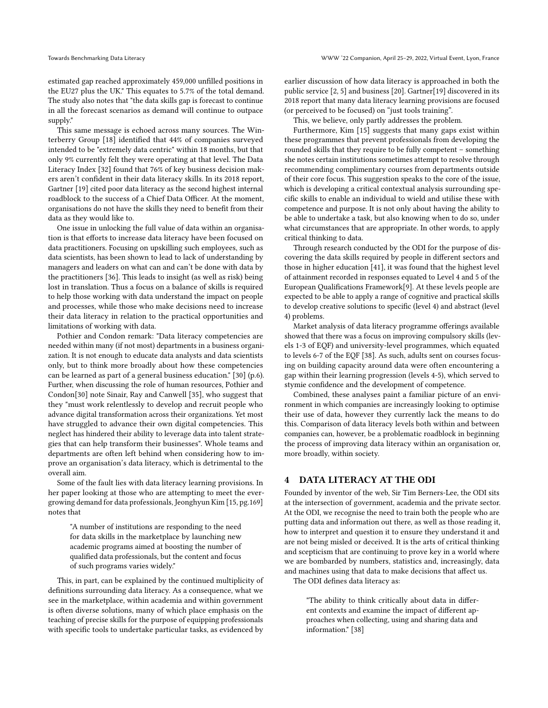estimated gap reached approximately 459,000 unfilled positions in the EU27 plus the UK." This equates to 5.7% of the total demand. The study also notes that "the data skills gap is forecast to continue in all the forecast scenarios as demand will continue to outpace supply."

This same message is echoed across many sources. The Winterberry Group [\[18\]](#page-8-14) identified that 44% of companies surveyed intended to be "extremely data centric" within 18 months, but that only 9% currently felt they were operating at that level. The Data Literacy Index [\[32\]](#page-8-15) found that 76% of key business decision makers aren't confident in their data literacy skills. In its 2018 report, Gartner [\[19\]](#page-8-16) cited poor data literacy as the second highest internal roadblock to the success of a Chief Data Officer. At the moment, organisations do not have the skills they need to benefit from their data as they would like to.

One issue in unlocking the full value of data within an organisation is that efforts to increase data literacy have been focused on data practitioners. Focusing on upskilling such employees, such as data scientists, has been shown to lead to lack of understanding by managers and leaders on what can and can't be done with data by the practitioners [\[36\]](#page-8-17). This leads to insight (as well as risk) being lost in translation. Thus a focus on a balance of skills is required to help those working with data understand the impact on people and processes, while those who make decisions need to increase their data literacy in relation to the practical opportunities and limitations of working with data.

Pothier and Condon remark: "Data literacy competencies are needed within many (if not most) departments in a business organization. It is not enough to educate data analysts and data scientists only, but to think more broadly about how these competencies can be learned as part of a general business education." [\[30\]](#page-8-18) (p.6). Further, when discussing the role of human resources, Pothier and Condon[\[30\]](#page-8-18) note Sinair, Ray and Canwell [\[35\]](#page-8-19), who suggest that they "must work relentlessly to develop and recruit people who advance digital transformation across their organizations. Yet most have struggled to advance their own digital competencies. This neglect has hindered their ability to leverage data into talent strategies that can help transform their businesses". Whole teams and departments are often left behind when considering how to improve an organisation's data literacy, which is detrimental to the overall aim.

Some of the fault lies with data literacy learning provisions. In her paper looking at those who are attempting to meet the evergrowing demand for data professionals, Jeonghyun Kim [\[15,](#page-8-20) pg.169] notes that

"A number of institutions are responding to the need for data skills in the marketplace by launching new academic programs aimed at boosting the number of qualified data professionals, but the content and focus of such programs varies widely."

This, in part, can be explained by the continued multiplicity of definitions surrounding data literacy. As a consequence, what we see in the marketplace, within academia and within government is often diverse solutions, many of which place emphasis on the teaching of precise skills for the purpose of equipping professionals with specific tools to undertake particular tasks, as evidenced by

earlier discussion of how data literacy is approached in both the public service [\[2,](#page-7-1) [5\]](#page-8-9) and business [\[20\]](#page-8-13). Gartner[\[19\]](#page-8-16) discovered in its 2018 report that many data literacy learning provisions are focused (or perceived to be focused) on "just tools training".

This, we believe, only partly addresses the problem.

Furthermore, Kim [\[15\]](#page-8-20) suggests that many gaps exist within these programmes that prevent professionals from developing the rounded skills that they require to be fully competent – something she notes certain institutions sometimes attempt to resolve through recommending complimentary courses from departments outside of their core focus. This suggestion speaks to the core of the issue, which is developing a critical contextual analysis surrounding specific skills to enable an individual to wield and utilise these with competence and purpose. It is not only about having the ability to be able to undertake a task, but also knowing when to do so, under what circumstances that are appropriate. In other words, to apply critical thinking to data.

Through research conducted by the ODI for the purpose of discovering the data skills required by people in different sectors and those in higher education [\[41\]](#page-8-21), it was found that the highest level of attainment recorded in responses equated to Level 4 and 5 of the European Qualifications Framework[\[9\]](#page-8-22). At these levels people are expected to be able to apply a range of cognitive and practical skills to develop creative solutions to specific (level 4) and abstract (level 4) problems.

Market analysis of data literacy programme offerings available showed that there was a focus on improving compulsory skills (levels 1-3 of EQF) and university-level programmes, which equated to levels 6-7 of the EQF [\[38\]](#page-8-23). As such, adults sent on courses focusing on building capacity around data were often encountering a gap within their learning progression (levels 4-5), which served to stymie confidence and the development of competence.

Combined, these analyses paint a familiar picture of an environment in which companies are increasingly looking to optimise their use of data, however they currently lack the means to do this. Comparison of data literacy levels both within and between companies can, however, be a problematic roadblock in beginning the process of improving data literacy within an organisation or, more broadly, within society.

## 4 DATA LITERACY AT THE ODI

Founded by inventor of the web, Sir Tim Berners-Lee, the ODI sits at the intersection of government, academia and the private sector. At the ODI, we recognise the need to train both the people who are putting data and information out there, as well as those reading it, how to interpret and question it to ensure they understand it and are not being misled or deceived. It is the arts of critical thinking and scepticism that are continuing to prove key in a world where we are bombarded by numbers, statistics and, increasingly, data and machines using that data to make decisions that affect us.

The ODI defines data literacy as:

"The ability to think critically about data in different contexts and examine the impact of different approaches when collecting, using and sharing data and information." [\[38\]](#page-8-23)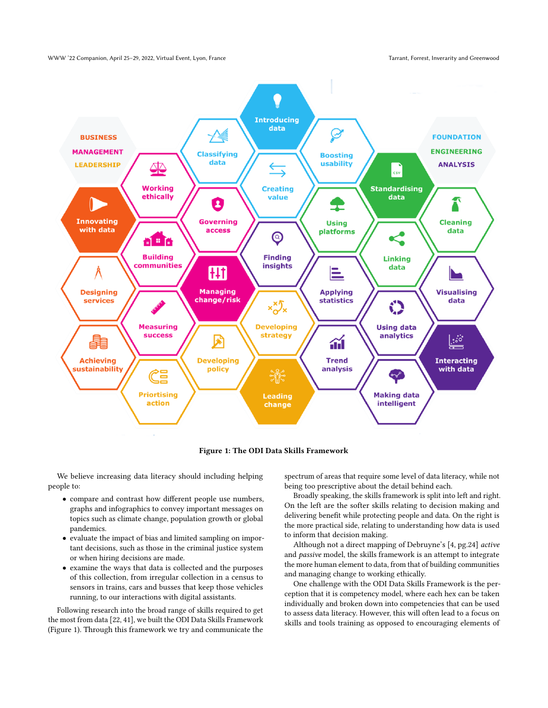WWW '22 Companion, April 25–29, 2022, Virtual Event, Lyon, France Tarrant, Tarrant, Forrest, Inverarity and Greenwood

<span id="page-3-0"></span>

Figure 1: The ODI Data Skills Framework

We believe increasing data literacy should including helping people to:

- compare and contrast how different people use numbers, graphs and infographics to convey important messages on topics such as climate change, population growth or global pandemics.
- evaluate the impact of bias and limited sampling on important decisions, such as those in the criminal justice system or when hiring decisions are made.
- examine the ways that data is collected and the purposes of this collection, from irregular collection in a census to sensors in trains, cars and busses that keep those vehicles running, to our interactions with digital assistants.

Following research into the broad range of skills required to get the most from data [\[22,](#page-8-24) [41\]](#page-8-21), we built the ODI Data Skills Framework (Figure [1\)](#page-3-0). Through this framework we try and communicate the

spectrum of areas that require some level of data literacy, while not being too prescriptive about the detail behind each.

Broadly speaking, the skills framework is split into left and right. On the left are the softer skills relating to decision making and delivering benefit while protecting people and data. On the right is the more practical side, relating to understanding how data is used to inform that decision making.

Although not a direct mapping of Debruyne's [\[4,](#page-8-7) pg.24] active and passive model, the skills framework is an attempt to integrate the more human element to data, from that of building communities and managing change to working ethically.

One challenge with the ODI Data Skills Framework is the perception that it is competency model, where each hex can be taken individually and broken down into competencies that can be used to assess data literacy. However, this will often lead to a focus on skills and tools training as opposed to encouraging elements of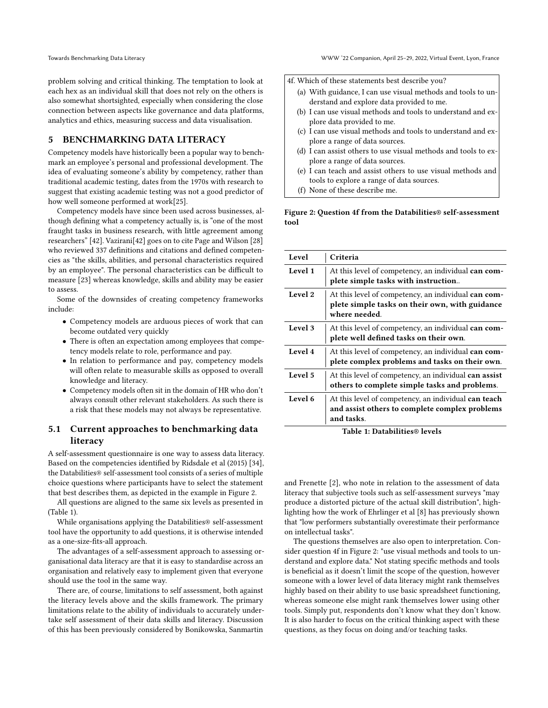problem solving and critical thinking. The temptation to look at each hex as an individual skill that does not rely on the others is also somewhat shortsighted, especially when considering the close connection between aspects like governance and data platforms, analytics and ethics, measuring success and data visualisation.

## <span id="page-4-0"></span>5 BENCHMARKING DATA LITERACY

Competency models have historically been a popular way to benchmark an employee's personal and professional development. The idea of evaluating someone's ability by competency, rather than traditional academic testing, dates from the 1970s with research to suggest that existing academic testing was not a good predictor of how well someone performed at work[\[25\]](#page-8-25).

Competency models have since been used across businesses, although defining what a competency actually is, is "one of the most fraught tasks in business research, with little agreement among researchers" [\[42\]](#page-8-26). Vazirani[\[42\]](#page-8-26) goes on to cite Page and Wilson [\[28\]](#page-8-27) who reviewed 337 definitions and citations and defined competencies as "the skills, abilities, and personal characteristics required by an employee". The personal characteristics can be difficult to measure [\[23\]](#page-8-28) whereas knowledge, skills and ability may be easier to assess.

Some of the downsides of creating competency frameworks include:

- Competency models are arduous pieces of work that can become outdated very quickly
- There is often an expectation among employees that competency models relate to role, performance and pay.
- In relation to performance and pay, competency models will often relate to measurable skills as opposed to overall knowledge and literacy.
- Competency models often sit in the domain of HR who don't always consult other relevant stakeholders. As such there is a risk that these models may not always be representative.

## 5.1 Current approaches to benchmarking data literacy

A self-assessment questionnaire is one way to assess data literacy. Based on the competencies identified by Ridsdale et al (2015) [\[34\]](#page-8-4), the Databilities® self-assessment tool consists of a series of multiple choice questions where participants have to select the statement that best describes them, as depicted in the example in Figure [2.](#page-4-1)

All questions are aligned to the same six levels as presented in (Table [1\)](#page-4-2).

While organisations applying the Databilities® self-assessment tool have the opportunity to add questions, it is otherwise intended as a one-size-fits-all approach.

The advantages of a self-assessment approach to assessing organisational data literacy are that it is easy to standardise across an organisation and relatively easy to implement given that everyone should use the tool in the same way.

There are, of course, limitations to self assessment, both against the literacy levels above and the skills framework. The primary limitations relate to the ability of individuals to accurately undertake self assessment of their data skills and literacy. Discussion of this has been previously considered by Bonikowska, Sanmartin

<span id="page-4-1"></span>4f. Which of these statements best describe you?

- (a) With guidance, I can use visual methods and tools to understand and explore data provided to me.
- (b) I can use visual methods and tools to understand and explore data provided to me.
- (c) I can use visual methods and tools to understand and explore a range of data sources.
- (d) I can assist others to use visual methods and tools to explore a range of data sources.
- (e) I can teach and assist others to use visual methods and tools to explore a range of data sources.
- (f) None of these describe me.

#### Figure 2: Question 4f from the Databilities® self-assessment tool

<span id="page-4-2"></span>

| Level   | Criteria                                                                                                               |
|---------|------------------------------------------------------------------------------------------------------------------------|
| Level 1 | At this level of competency, an individual can com-<br>plete simple tasks with instruction                             |
| Level 2 | At this level of competency, an individual can com-<br>plete simple tasks on their own, with guidance<br>where needed. |
| Level 3 | At this level of competency, an individual can com-<br>plete well defined tasks on their own.                          |
| Level 4 | At this level of competency, an individual can com-<br>plete complex problems and tasks on their own.                  |
| Level 5 | At this level of competency, an individual can assist<br>others to complete simple tasks and problems.                 |
| Level 6 | At this level of competency, an individual can teach<br>and assist others to complete complex problems<br>and tasks.   |

Table 1: Databilities® levels

and Frenette [\[2\]](#page-7-1), who note in relation to the assessment of data literacy that subjective tools such as self-assessment surveys "may produce a distorted picture of the actual skill distribution", highlighting how the work of Ehrlinger et al [\[8\]](#page-8-29) has previously shown that "low performers substantially overestimate their performance on intellectual tasks".

The questions themselves are also open to interpretation. Consider question 4f in Figure [2:](#page-4-1) "use visual methods and tools to understand and explore data." Not stating specific methods and tools is beneficial as it doesn't limit the scope of the question, however someone with a lower level of data literacy might rank themselves highly based on their ability to use basic spreadsheet functioning, whereas someone else might rank themselves lower using other tools. Simply put, respondents don't know what they don't know. It is also harder to focus on the critical thinking aspect with these questions, as they focus on doing and/or teaching tasks.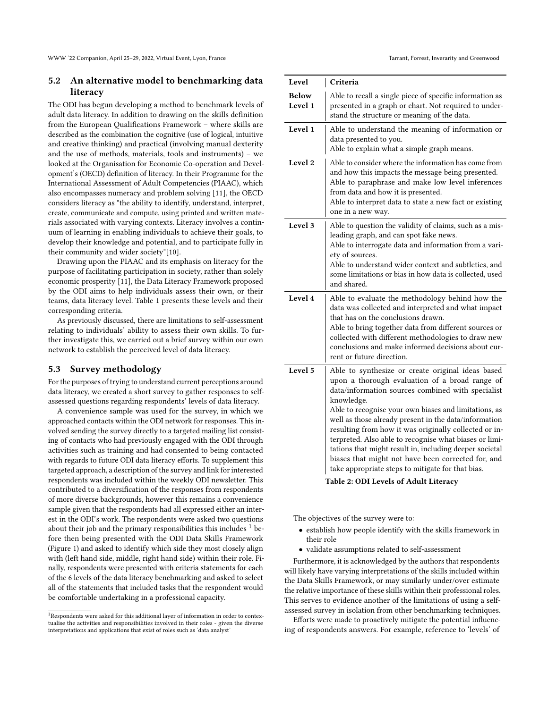## 5.2 An alternative model to benchmarking data literacy

The ODI has begun developing a method to benchmark levels of adult data literacy. In addition to drawing on the skills definition from the European Qualifications Framework – where skills are described as the combination the cognitive (use of logical, intuitive and creative thinking) and practical (involving manual dexterity and the use of methods, materials, tools and instruments) – we looked at the Organisation for Economic Co-operation and Development's (OECD) definition of literacy. In their Programme for the International Assessment of Adult Competencies (PIAAC), which also encompasses numeracy and problem solving [\[11\]](#page-8-30), the OECD considers literacy as "the ability to identify, understand, interpret, create, communicate and compute, using printed and written materials associated with varying contexts. Literacy involves a continuum of learning in enabling individuals to achieve their goals, to develop their knowledge and potential, and to participate fully in their community and wider society"[\[10\]](#page-8-31).

Drawing upon the PIAAC and its emphasis on literacy for the purpose of facilitating participation in society, rather than solely economic prosperity [\[11\]](#page-8-30), the Data Literacy Framework proposed by the ODI aims to help individuals assess their own, or their teams, data literacy level. Table 1 presents these levels and their corresponding criteria.

As previously discussed, there are limitations to self-assessment relating to individuals' ability to assess their own skills. To further investigate this, we carried out a brief survey within our own network to establish the perceived level of data literacy.

#### 5.3 Survey methodology

For the purposes of trying to understand current perceptions around data literacy, we created a short survey to gather responses to selfassessed questions regarding respondents' levels of data literacy.

A convenience sample was used for the survey, in which we approached contacts within the ODI network for responses. This involved sending the survey directly to a targeted mailing list consisting of contacts who had previously engaged with the ODI through activities such as training and had consented to being contacted with regards to future ODI data literacy efforts. To supplement this targeted approach, a description of the survey and link for interested respondents was included within the weekly ODI newsletter. This contributed to a diversification of the responses from respondents of more diverse backgrounds, however this remains a convenience sample given that the respondents had all expressed either an interest in the ODI's work. The respondents were asked two questions about their job and the primary responsibilities this includes  $<sup>1</sup>$  $<sup>1</sup>$  $<sup>1</sup>$  be-</sup> fore then being presented with the ODI Data Skills Framework (Figure [1\)](#page-3-0) and asked to identify which side they most closely align with (left hand side, middle, right hand side) within their role. Finally, respondents were presented with criteria statements for each of the 6 levels of the data literacy benchmarking and asked to select all of the statements that included tasks that the respondent would be comfortable undertaking in a professional capacity.

| Level                   | Criteria                                                                                                                                                                                                                                                                                                                                                                                                                                                                                                                                                                          |
|-------------------------|-----------------------------------------------------------------------------------------------------------------------------------------------------------------------------------------------------------------------------------------------------------------------------------------------------------------------------------------------------------------------------------------------------------------------------------------------------------------------------------------------------------------------------------------------------------------------------------|
| <b>Below</b><br>Level 1 | Able to recall a single piece of specific information as<br>presented in a graph or chart. Not required to under-<br>stand the structure or meaning of the data.                                                                                                                                                                                                                                                                                                                                                                                                                  |
| Level 1                 | Able to understand the meaning of information or<br>data presented to you.<br>Able to explain what a simple graph means.                                                                                                                                                                                                                                                                                                                                                                                                                                                          |
| Level 2                 | Able to consider where the information has come from<br>and how this impacts the message being presented.<br>Able to paraphrase and make low level inferences<br>from data and how it is presented.<br>Able to interpret data to state a new fact or existing<br>one in a new way.                                                                                                                                                                                                                                                                                                |
| Level 3                 | Able to question the validity of claims, such as a mis-<br>leading graph, and can spot fake news.<br>Able to interrogate data and information from a vari-<br>ety of sources.<br>Able to understand wider context and subtleties, and<br>some limitations or bias in how data is collected, used<br>and shared.                                                                                                                                                                                                                                                                   |
| Level 4                 | Able to evaluate the methodology behind how the<br>data was collected and interpreted and what impact<br>that has on the conclusions drawn.<br>Able to bring together data from different sources or<br>collected with different methodologies to draw new<br>conclusions and make informed decisions about cur-<br>rent or future direction.                                                                                                                                                                                                                                     |
| Level 5                 | Able to synthesize or create original ideas based<br>upon a thorough evaluation of a broad range of<br>data/information sources combined with specialist<br>knowledge.<br>Able to recognise your own biases and limitations, as<br>well as those already present in the data/information<br>resulting from how it was originally collected or in-<br>terpreted. Also able to recognise what biases or limi-<br>tations that might result in, including deeper societal<br>biases that might not have been corrected for, and<br>take appropriate steps to mitigate for that bias. |

Table 2: ODI Levels of Adult Literacy

The objectives of the survey were to:

- establish how people identify with the skills framework in their role
- validate assumptions related to self-assessment

Furthermore, it is acknowledged by the authors that respondents will likely have varying interpretations of the skills included within the Data Skills Framework, or may similarly under/over estimate the relative importance of these skills within their professional roles. This serves to evidence another of the limitations of using a selfassessed survey in isolation from other benchmarking techniques.

Efforts were made to proactively mitigate the potential influencing of respondents answers. For example, reference to 'levels' of

<span id="page-5-0"></span><sup>&</sup>lt;sup>1</sup>Respondents were asked for this additional layer of information in order to contextualise the activities and responsibilities involved in their roles - given the diverse interpretations and applications that exist of roles such as 'data analyst'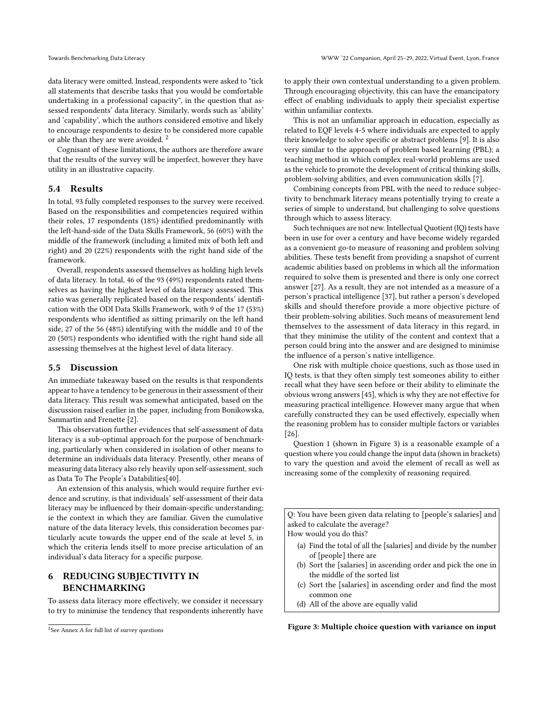data literacy were omitted. Instead, respondents were asked to "tick all statements that describe tasks that you would be comfortable undertaking in a professional capacity", in the question that assessed respondents' data literacy. Similarly, words such as 'ability' and 'capability', which the authors considered emotive and likely to encourage respondents to desire to be considered more capable or able than they are were avoided.<sup>[2](#page-6-1)</sup>

Cognisant of these limitations, the authors are therefore aware that the results of the survey will be imperfect, however they have utility in an illustrative capacity.

#### 5.4 Results

In total, 93 fully completed responses to the survey were received. Based on the responsibilities and competencies required within their roles, 17 respondents (18%) identified predominantly with the left-hand-side of the Data Skills Framework, 56 (60%) with the middle of the framework (including a limited mix of both left and right) and 20 (22%) respondents with the right hand side of the framework.

Overall, respondents assessed themselves as holding high levels of data literacy. In total, 46 of the 93 (49%) respondents rated themselves as having the highest level of data literacy assessed. This ratio was generally replicated based on the respondents' identification with the ODI Data Skills Framework, with 9 of the 17 (53%) respondents who identified as sitting primarily on the left hand side, 27 of the 56 (48%) identifying with the middle and 10 of the 20 (50%) respondents who identified with the right hand side all assessing themselves at the highest level of data literacy.

#### 5.5 Discussion

An immediate takeaway based on the results is that respondents appear to have a tendency to be generous in their assessment of their data literacy. This result was somewhat anticipated, based on the discussion raised earlier in the paper, including from Bonikowska, Sanmartin and Frenette [\[2\]](#page-7-1).

This observation further evidences that self-assessment of data literacy is a sub-optimal approach for the purpose of benchmarking, particularly when considered in isolation of other means to determine an individuals data literacy. Presently, other means of measuring data literacy also rely heavily upon self-assessment, such as Data To The People's Databilities[\[40\]](#page-8-32).

An extension of this analysis, which would require further evidence and scrutiny, is that individuals' self-assessment of their data literacy may be influenced by their domain-specific understanding; ie the context in which they are familiar. Given the cumulative nature of the data literacy levels, this consideration becomes particularly acute towards the upper end of the scale at level 5, in which the criteria lends itself to more precise articulation of an individual's data literacy for a specific purpose.

# <span id="page-6-0"></span>6 REDUCING SUBJECTIVITY IN BENCHMARKING

To assess data literacy more effectively, we consider it necessary to try to minimise the tendency that respondents inherently have to apply their own contextual understanding to a given problem. Through encouraging objectivity, this can have the emancipatory effect of enabling individuals to apply their specialist expertise within unfamiliar contexts.

This is not an unfamiliar approach in education, especially as related to EQF levels 4-5 where individuals are expected to apply their knowledge to solve specific or abstract problems [\[9\]](#page-8-22). It is also very similar to the approach of problem based learning (PBL); a teaching method in which complex real-world problems are used as the vehicle to promote the development of critical thinking skills, problem-solving abilities, and even communication skills [\[7\]](#page-8-33).

Combining concepts from PBL with the need to reduce subjectivity to benchmark literacy means potentially trying to create a series of simple to understand, but challenging to solve questions through which to assess literacy.

Such techniques are not new. Intellectual Quotient (IQ) tests have been in use for over a century and have become widely regarded as a convenient go-to measure of reasoning and problem solving abilities. These tests benefit from providing a snapshot of current academic abilities based on problems in which all the information required to solve them is presented and there is only one correct answer [\[27\]](#page-8-34). As a result, they are not intended as a measure of a person's practical intelligence [\[37\]](#page-8-35), but rather a person's developed skills and should therefore provide a more objective picture of their problem-solving abilities. Such means of measurement lend themselves to the assessment of data literacy in this regard, in that they minimise the utility of the content and context that a person could bring into the answer and are designed to minimise the influence of a person's native intelligence.

One risk with multiple choice questions, such as those used in IQ tests, is that they often simply test someones ability to either recall what they have seen before or their ability to eliminate the obvious wrong answers [\[45\]](#page-8-36), which is why they are not effective for measuring practical intelligence. However many argue that when carefully constructed they can be used effectively, especially when the reasoning problem has to consider multiple factors or variables [\[26\]](#page-8-37).

Question 1 (shown in Figure [3\)](#page-6-2) is a reasonable example of a question where you could change the input data (shown in brackets) to vary the question and avoid the element of recall as well as increasing some of the complexity of reasoning required.

<span id="page-6-2"></span>Q: You have been given data relating to [people's salaries] and asked to calculate the average?

How would you do this?

- (a) Find the total of all the [salaries] and divide by the number of [people] there are
- (b) Sort the [salaries] in ascending order and pick the one in the middle of the sorted list
- (c) Sort the [salaries] in ascending order and find the most common one
- (d) All of the above are equally valid

Figure 3: Multiple choice question with variance on input

<span id="page-6-1"></span><sup>&</sup>lt;sup>2</sup>See Annex A for full list of survey questions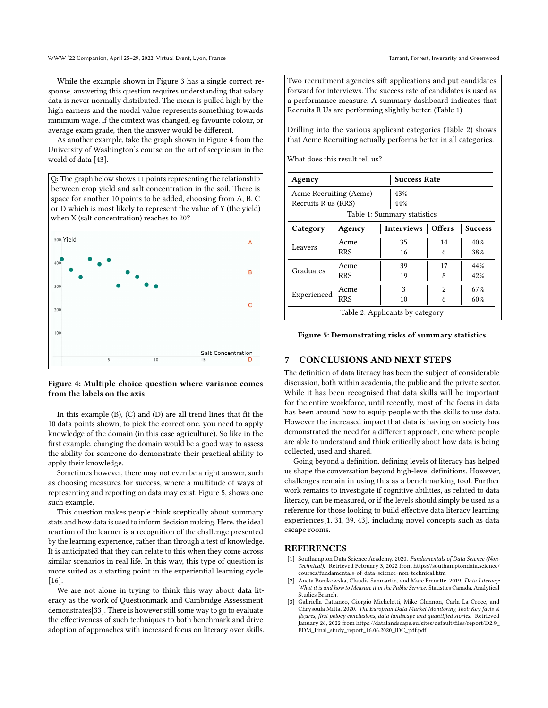While the example shown in Figure [3](#page-6-2) has a single correct response, answering this question requires understanding that salary data is never normally distributed. The mean is pulled high by the high earners and the modal value represents something towards minimum wage. If the context was changed, eg favourite colour, or average exam grade, then the answer would be different.

As another example, take the graph shown in Figure [4](#page-7-3) from the University of Washington's course on the art of scepticism in the world of data [\[43\]](#page-8-38).

<span id="page-7-3"></span>Q: The graph below shows 11 points representing the relationship between crop yield and salt concentration in the soil. There is space for another 10 points to be added, choosing from A, B, C or D which is most likely to represent the value of Y (the yield) when X (salt concentration) reaches to 20?



#### Figure 4: Multiple choice question where variance comes from the labels on the axis

In this example (B), (C) and (D) are all trend lines that fit the 10 data points shown, to pick the correct one, you need to apply knowledge of the domain (in this case agriculture). So like in the first example, changing the domain would be a good way to assess the ability for someone do demonstrate their practical ability to apply their knowledge.

Sometimes however, there may not even be a right answer, such as choosing measures for success, where a multitude of ways of representing and reporting on data may exist. Figure [5,](#page-7-4) shows one such example.

This question makes people think sceptically about summary stats and how data is used to inform decision making. Here, the ideal reaction of the learner is a recognition of the challenge presented by the learning experience, rather than through a test of knowledge. It is anticipated that they can relate to this when they come across similar scenarios in real life. In this way, this type of question is more suited as a starting point in the experiential learning cycle [\[16\]](#page-8-39).

We are not alone in trying to think this way about data literacy as the work of Questionmark and Cambridge Assessment demonstrates[\[33\]](#page-8-40). There is however still some way to go to evaluate the effectiveness of such techniques to both benchmark and drive adoption of approaches with increased focus on literacy over skills.

<span id="page-7-4"></span>Two recruitment agencies sift applications and put candidates forward for interviews. The success rate of candidates is used as a performance measure. A summary dashboard indicates that Recruits R Us are performing slightly better. (Table 1)

Drilling into the various applicant categories (Table 2) shows that Acme Recruiting actually performs better in all categories.

What does this result tell us?

| Agency                                        | <b>Success Rate</b> |  |  |  |
|-----------------------------------------------|---------------------|--|--|--|
| Acme Recruiting (Acme)<br>Recruits R us (RRS) | 43%<br>44%          |  |  |  |
| Table 1: Summary statistics                   |                     |  |  |  |

| Category                        | Agency     | <b>Interviews</b> | Offers | <b>Success</b> |  |  |
|---------------------------------|------------|-------------------|--------|----------------|--|--|
| Leavers                         | Acme       | 35                | 14     | 40%            |  |  |
|                                 | <b>RRS</b> | 16                | 6      | 38%            |  |  |
| Graduates                       | Acme       | 39                | 17     | 44%            |  |  |
|                                 | <b>RRS</b> | 19                | 8      | 42%            |  |  |
| Experienced                     | Acme       | 3                 | 2      | 67%            |  |  |
|                                 | <b>RRS</b> | 10                | 6      | 60%            |  |  |
| Table 2: Applicants by category |            |                   |        |                |  |  |

Figure 5: Demonstrating risks of summary statistics

#### <span id="page-7-0"></span>7 CONCLUSIONS AND NEXT STEPS

The definition of data literacy has been the subject of considerable discussion, both within academia, the public and the private sector. While it has been recognised that data skills will be important for the entire workforce, until recently, most of the focus in data has been around how to equip people with the skills to use data. However the increased impact that data is having on society has demonstrated the need for a different approach, one where people are able to understand and think critically about how data is being collected, used and shared.

Going beyond a definition, defining levels of literacy has helped us shape the conversation beyond high-level definitions. However, challenges remain in using this as a benchmarking tool. Further work remains to investigate if cognitive abilities, as related to data literacy, can be measured, or if the levels should simply be used as a reference for those looking to build effective data literacy learning experiences[\[1,](#page-7-5) [31,](#page-8-41) [39,](#page-8-42) [43\]](#page-8-38), including novel concepts such as data escape rooms.

#### REFERENCES

- <span id="page-7-5"></span>[1] Southampton Data Science Academy. 2020. Fundamentals of Data Science (Non-Technical). Retrieved February 3, 2022 from [https://southamptondata.science/](https://southamptondata.science/courses/fundamentals-of-data-science-non-technical.htm) [courses/fundamentals-of-data-science-non-technical.htm](https://southamptondata.science/courses/fundamentals-of-data-science-non-technical.htm)
- <span id="page-7-1"></span>Aneta Bonikowska, Claudia Sanmartin, and Marc Frenette. 2019. Data Literacy: What it is and how to Measure it in the Public Service. Statistics Canada, Analytical Studies Branch.
- <span id="page-7-2"></span>[3] Gabriella Cattaneo, Giorgio Micheletti, Mike Glennon, Carla La Croce, and Chrysoula Mitta. 2020. The European Data Market Monitoring Tool: Key facts & figures, first polocy conclusions, data landscape and quantified stories. Retrieved January 26, 2022 from [https://datalandscape.eu/sites/default/files/report/D2.9\\_](https://datalandscape.eu/sites/default/files/report/D2.9_EDM_Final_study_report_16.06.2020_IDC_pdf.pdf) [EDM\\_Final\\_study\\_report\\_16.06.2020\\_IDC\\_pdf.pdf](https://datalandscape.eu/sites/default/files/report/D2.9_EDM_Final_study_report_16.06.2020_IDC_pdf.pdf)